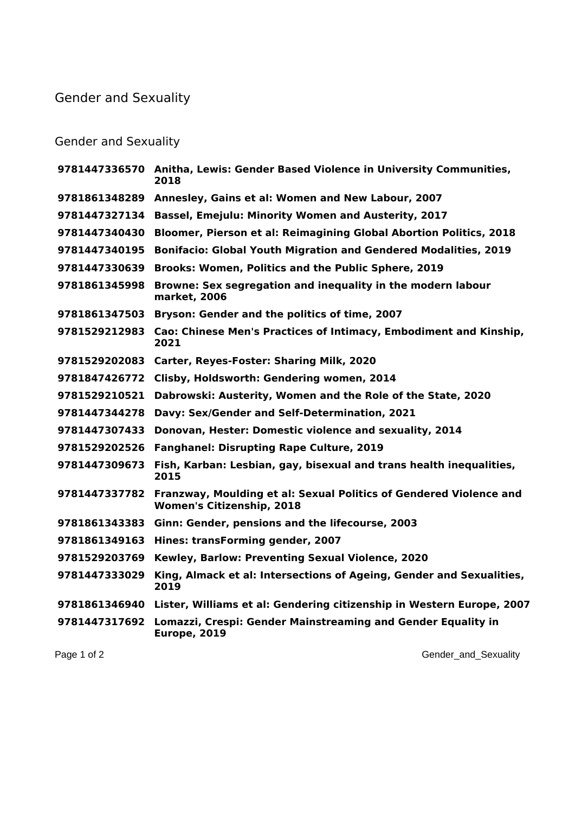## Gender and Sexuality

## Gender and Sexuality

|               | 9781447336570 Anitha, Lewis: Gender Based Violence in University Communities,<br>2018                                |
|---------------|----------------------------------------------------------------------------------------------------------------------|
| 9781861348289 | Annesley, Gains et al: Women and New Labour, 2007                                                                    |
| 9781447327134 | <b>Bassel, Emejulu: Minority Women and Austerity, 2017</b>                                                           |
| 9781447340430 | Bloomer, Pierson et al: Reimagining Global Abortion Politics, 2018                                                   |
| 9781447340195 | <b>Bonifacio: Global Youth Migration and Gendered Modalities, 2019</b>                                               |
| 9781447330639 | Brooks: Women, Politics and the Public Sphere, 2019                                                                  |
| 9781861345998 | Browne: Sex segregation and inequality in the modern labour<br>market, 2006                                          |
| 9781861347503 | Bryson: Gender and the politics of time, 2007                                                                        |
| 9781529212983 | Cao: Chinese Men's Practices of Intimacy, Embodiment and Kinship,<br>2021                                            |
| 9781529202083 | Carter, Reyes-Foster: Sharing Milk, 2020                                                                             |
| 9781847426772 | Clisby, Holdsworth: Gendering women, 2014                                                                            |
| 9781529210521 | Dabrowski: Austerity, Women and the Role of the State, 2020                                                          |
| 9781447344278 | Davy: Sex/Gender and Self-Determination, 2021                                                                        |
| 9781447307433 | Donovan, Hester: Domestic violence and sexuality, 2014                                                               |
| 9781529202526 | <b>Fanghanel: Disrupting Rape Culture, 2019</b>                                                                      |
| 9781447309673 | Fish, Karban: Lesbian, gay, bisexual and trans health inequalities,<br>2015                                          |
|               | 9781447337782 Franzway, Moulding et al: Sexual Politics of Gendered Violence and<br><b>Women's Citizenship, 2018</b> |
| 9781861343383 | Ginn: Gender, pensions and the lifecourse, 2003                                                                      |
| 9781861349163 | Hines: transForming gender, 2007                                                                                     |
| 9781529203769 | Kewley, Barlow: Preventing Sexual Violence, 2020                                                                     |
| 9781447333029 | King, Almack et al: Intersections of Ageing, Gender and Sexualities,<br>2019                                         |
|               | 9781861346940 Lister, Williams et al: Gendering citizenship in Western Europe, 2007                                  |
| 9781447317692 | Lomazzi, Crespi: Gender Mainstreaming and Gender Equality in<br><b>Europe, 2019</b>                                  |
|               |                                                                                                                      |

Page 1 of 2 Gender\_and\_Sexuality